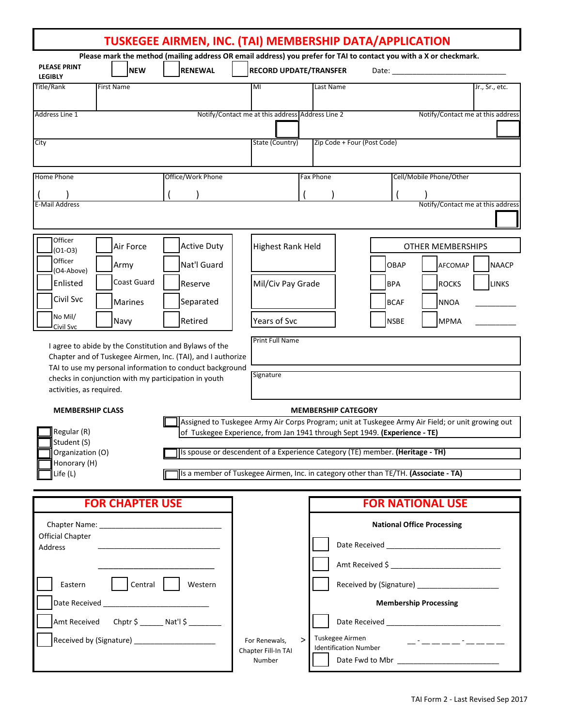| TUSKEGEE AIRMEN, INC. (TAI) MEMBERSHIP DATA/APPLICATION |                                                      |                                                                                                                                                                                                               |                                                                                                                                                     |                                   |                           |                                   |                              |
|---------------------------------------------------------|------------------------------------------------------|---------------------------------------------------------------------------------------------------------------------------------------------------------------------------------------------------------------|-----------------------------------------------------------------------------------------------------------------------------------------------------|-----------------------------------|---------------------------|-----------------------------------|------------------------------|
| <b>PLEASE PRINT</b><br><b>LEGIBLY</b>                   | <b>NEW</b>                                           | <b>RENEWAL</b>                                                                                                                                                                                                | Please mark the method (mailing address OR email address) you prefer for TAI to contact you with a X or checkmark.<br><b>RECORD UPDATE/TRANSFER</b> |                                   | Date:                     |                                   |                              |
| Title/Rank                                              | <b>First Name</b>                                    |                                                                                                                                                                                                               | MI                                                                                                                                                  | Last Name                         |                           |                                   | Jr., Sr., etc.               |
| Address Line 1                                          |                                                      | Notify/Contact me at this address Address Line 2<br>Notify/Contact me at this address                                                                                                                         |                                                                                                                                                     |                                   |                           |                                   |                              |
| City                                                    |                                                      |                                                                                                                                                                                                               | State (Country)                                                                                                                                     | Zip Code + Four (Post Code)       |                           |                                   |                              |
| Home Phone                                              |                                                      | Office/Work Phone                                                                                                                                                                                             |                                                                                                                                                     | <b>Fax Phone</b>                  |                           | Cell/Mobile Phone/Other           |                              |
| <b>E-Mail Address</b>                                   |                                                      |                                                                                                                                                                                                               |                                                                                                                                                     |                                   |                           | Notify/Contact me at this address |                              |
| Officer<br>$(01-03)$                                    | Air Force                                            | <b>Active Duty</b>                                                                                                                                                                                            | <b>Highest Rank Held</b>                                                                                                                            |                                   |                           | <b>OTHER MEMBERSHIPS</b>          |                              |
| Officer<br>(O4-Above)<br>Enlisted                       | Army<br><b>Coast Guard</b>                           | Nat'l Guard<br>Reserve                                                                                                                                                                                        | Mil/Civ Pay Grade                                                                                                                                   |                                   | <b>OBAP</b><br><b>BPA</b> | <b>AFCOMAP</b><br><b>ROCKS</b>    | <b>NAACP</b><br><b>LINKS</b> |
| Civil Svc                                               | Marines                                              | Separated                                                                                                                                                                                                     |                                                                                                                                                     |                                   | <b>BCAF</b>               | <b>NNOA</b>                       |                              |
| No Mil/<br>Civil Svc                                    | Navy                                                 | Retired                                                                                                                                                                                                       | Years of Svc<br>Print Full Name                                                                                                                     |                                   | <b>NSBE</b>               | <b>MPMA</b>                       |                              |
|                                                         |                                                      | I agree to abide by the Constitution and Bylaws of the<br>Chapter and of Tuskegee Airmen, Inc. (TAI), and I authorize<br>TAI to use my personal information to conduct background                             |                                                                                                                                                     |                                   |                           |                                   |                              |
| activities, as required.                                | checks in conjunction with my participation in youth |                                                                                                                                                                                                               | Signature                                                                                                                                           |                                   |                           |                                   |                              |
| <b>MEMBERSHIP CLASS</b><br>Regular (R)                  |                                                      | <b>MEMBERSHIP CATEGORY</b><br>Assigned to Tuskegee Army Air Corps Program; unit at Tuskegee Army Air Field; or unit growing out<br>of Tuskegee Experience, from Jan 1941 through Sept 1949. (Experience - TE) |                                                                                                                                                     |                                   |                           |                                   |                              |
| Student (S)<br>Organization (O)                         |                                                      | Is spouse or descendent of a Experience Category (TE) member. (Heritage - TH)                                                                                                                                 |                                                                                                                                                     |                                   |                           |                                   |                              |
| Honorary (H)<br>Life (L)                                |                                                      | Is a member of Tuskegee Airmen, Inc. in category other than TE/TH. (Associate - TA)                                                                                                                           |                                                                                                                                                     |                                   |                           |                                   |                              |
| <b>FOR CHAPTER USE</b>                                  |                                                      |                                                                                                                                                                                                               |                                                                                                                                                     | <b>FOR NATIONAL USE</b>           |                           |                                   |                              |
| <b>Official Chapter</b>                                 |                                                      |                                                                                                                                                                                                               |                                                                                                                                                     | <b>National Office Processing</b> |                           |                                   |                              |
| Address                                                 |                                                      |                                                                                                                                                                                                               |                                                                                                                                                     |                                   | Amt Received \$           |                                   |                              |
| Central  <br>Eastern                                    |                                                      | Western                                                                                                                                                                                                       |                                                                                                                                                     |                                   |                           |                                   |                              |
|                                                         | Amt Received Chptr \$ ______ Nat'l \$ ________       |                                                                                                                                                                                                               |                                                                                                                                                     | <b>Membership Processing</b>      |                           |                                   |                              |
| Received by (Signature) ______________________          |                                                      |                                                                                                                                                                                                               | Tuskegee Airmen<br>$\geq$<br>For Renewals,<br>_-_____-_-<br><b>Identification Number</b>                                                            |                                   |                           |                                   |                              |
|                                                         |                                                      |                                                                                                                                                                                                               | Chapter Fill-In TAI<br>Number                                                                                                                       |                                   |                           |                                   |                              |